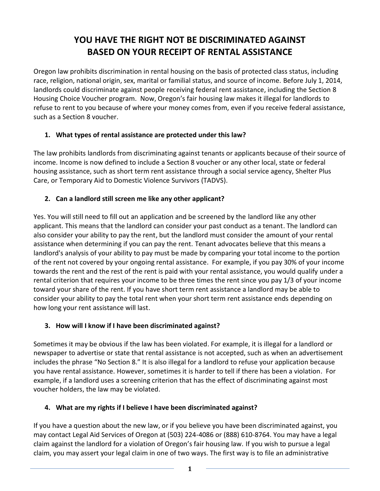# **YOU HAVE THE RIGHT NOT BE DISCRIMINATED AGAINST BASED ON YOUR RECEIPT OF RENTAL ASSISTANCE**

Oregon law prohibits discrimination in rental housing on the basis of protected class status, including race, religion, national origin, sex, marital or familial status, and source of income. Before July 1, 2014, landlords could discriminate against people receiving federal rent assistance, including the Section 8 Housing Choice Voucher program. Now, Oregon's fair housing law makes it illegal for landlords to refuse to rent to you because of where your money comes from, even if you receive federal assistance, such as a Section 8 voucher.

#### **1. What types of rental assistance are protected under this law?**

The law prohibits landlords from discriminating against tenants or applicants because of their source of income. Income is now defined to include a Section 8 voucher or any other local, state or federal housing assistance, such as short term rent assistance through a social service agency, Shelter Plus Care, or Temporary Aid to Domestic Violence Survivors (TADVS).

#### **2. Can a landlord still screen me like any other applicant?**

Yes. You will still need to fill out an application and be screened by the landlord like any other applicant. This means that the landlord can consider your past conduct as a tenant. The landlord can also consider your ability to pay the rent, but the landlord must consider the amount of your rental assistance when determining if you can pay the rent. Tenant advocates believe that this means a landlord's analysis of your ability to pay must be made by comparing your total income to the portion of the rent not covered by your ongoing rental assistance. For example, if you pay 30% of your income towards the rent and the rest of the rent is paid with your rental assistance, you would qualify under a rental criterion that requires your income to be three times the rent since you pay 1/3 of your income toward your share of the rent. If you have short term rent assistance a landlord may be able to consider your ability to pay the total rent when your short term rent assistance ends depending on how long your rent assistance will last.

#### **3. How will I know if I have been discriminated against?**

Sometimes it may be obvious if the law has been violated. For example, it is illegal for a landlord or newspaper to advertise or state that rental assistance is not accepted, such as when an advertisement includes the phrase "No Section 8." It is also illegal for a landlord to refuse your application because you have rental assistance. However, sometimes it is harder to tell if there has been a violation. For example, if a landlord uses a screening criterion that has the effect of discriminating against most voucher holders, the law may be violated.

#### **4. What are my rights if I believe I have been discriminated against?**

If you have a question about the new law, or if you believe you have been discriminated against, you may contact Legal Aid Services of Oregon at (503) 224-4086 or (888) 610-8764. You may have a legal claim against the landlord for a violation of Oregon's fair housing law. If you wish to pursue a legal claim, you may assert your legal claim in one of two ways. The first way is to file an administrative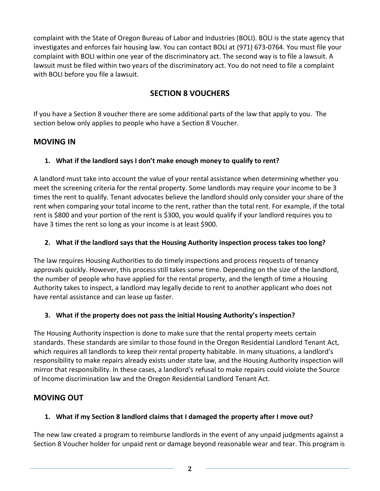complaint with the State of Oregon Bureau of Labor and Industries (BOLI). BOLI is the state agency that investigates and enforces fair housing law. You can contact BOLI at (971) 673-0764. You must file your complaint with BOLI within one year of the discriminatory act. The second way is to file a lawsuit. A lawsuit must be filed within two years of the discriminatory act. You do not need to file a complaint with BOLI before you file a lawsuit.

# **SECTION 8 VOUCHERS**

If you have a Section 8 voucher there are some additional parts of the law that apply to you. The section below only applies to people who have a Section 8 Voucher.

# **MOVING IN**

## **1. What if the landlord says I don't make enough money to qualify to rent?**

A landlord must take into account the value of your rental assistance when determining whether you meet the screening criteria for the rental property. Some landlords may require your income to be 3 times the rent to qualify. Tenant advocates believe the landlord should only consider your share of the rent when comparing your total income to the rent, rather than the total rent. For example, if the total rent is \$800 and your portion of the rent is \$300, you would qualify if your landlord requires you to have 3 times the rent so long as your income is at least \$900.

# **2. What if the landlord says that the Housing Authority inspection process takes too long?**

The law requires Housing Authorities to do timely inspections and process requests of tenancy approvals quickly. However, this process still takes some time. Depending on the size of the landlord, the number of people who have applied for the rental property, and the length of time a Housing Authority takes to inspect, a landlord may legally decide to rent to another applicant who does not have rental assistance and can lease up faster.

#### **3. What if the property does not pass the initial Housing Authority's inspection?**

The Housing Authority inspection is done to make sure that the rental property meets certain standards. These standards are similar to those found in the Oregon Residential Landlord Tenant Act, which requires all landlords to keep their rental property habitable. In many situations, a landlord's responsibility to make repairs already exists under state law, and the Housing Authority inspection will mirror that responsibility. In these cases, a landlord's refusal to make repairs could violate the Source of Income discrimination law and the Oregon Residential Landlord Tenant Act.

# **MOVING OUT**

# **1. What if my Section 8 landlord claims that I damaged the property after I move out?**

The new law created a program to reimburse landlords in the event of any unpaid judgments against a Section 8 Voucher holder for unpaid rent or damage beyond reasonable wear and tear. This program is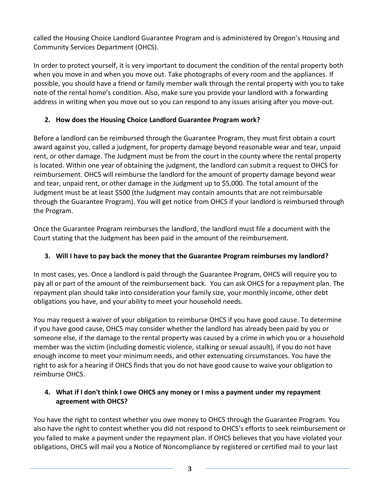called the Housing Choice Landlord Guarantee Program and is administered by Oregon's Housing and Community Services Department (OHCS).

In order to protect yourself, it is very important to document the condition of the rental property both when you move in and when you move out. Take photographs of every room and the appliances. If possible, you should have a friend or family member walk through the rental property with you to take note of the rental home's condition. Also, make sure you provide your landlord with a forwarding address in writing when you move out so you can respond to any issues arising after you move-out.

# **2. How does the Housing Choice Landlord Guarantee Program work?**

Before a landlord can be reimbursed through the Guarantee Program, they must first obtain a court award against you, called a judgment, for property damage beyond reasonable wear and tear, unpaid rent, or other damage. The Judgment must be from the court in the county where the rental property is located. Within one year of obtaining the judgment, the landlord can submit a request to OHCS for reimbursement. OHCS will reimburse the landlord for the amount of property damage beyond wear and tear, unpaid rent, or other damage in the Judgment up to \$5,000. The total amount of the Judgment must be at least \$500 (the Judgment may contain amounts that are not reimbursable through the Guarantee Program). You will get notice from OHCS if your landlord is reimbursed through the Program.

Once the Guarantee Program reimburses the landlord, the landlord must file a document with the Court stating that the Judgment has been paid in the amount of the reimbursement.

# **3. Will I have to pay back the money that the Guarantee Program reimburses my landlord?**

In most cases, yes. Once a landlord is paid through the Guarantee Program, OHCS will require you to pay all or part of the amount of the reimbursement back. You can ask OHCS for a repayment plan. The repayment plan should take into consideration your family size, your monthly income, other debt obligations you have, and your ability to meet your household needs.

You may request a waiver of your obligation to reimburse OHCS if you have good cause. To determine if you have good cause, OHCS may consider whether the landlord has already been paid by you or someone else, if the damage to the rental property was caused by a crime in which you or a household member was the victim (including domestic violence, stalking or sexual assault), if you do not have enough income to meet your minimum needs, and other extenuating circumstances. You have the right to ask for a hearing if OHCS finds that you do not have good cause to waive your obligation to reimburse OHCS.

## **4. What if I don't think I owe OHCS any money or I miss a payment under my repayment agreement with OHCS?**

You have the right to contest whether you owe money to OHCS through the Guarantee Program. You also have the right to contest whether you did not respond to OHCS's efforts to seek reimbursement or you failed to make a payment under the repayment plan. If OHCS believes that you have violated your obligations, OHCS will mail you a Notice of Noncompliance by registered or certified mail to your last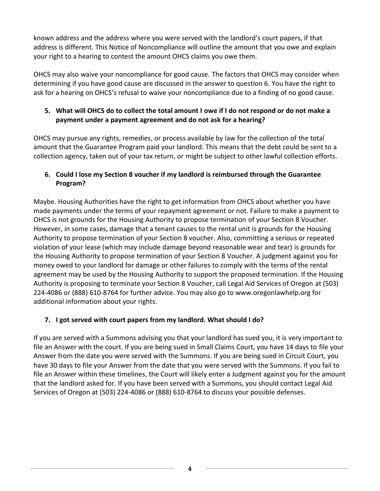known address and the address where you were served with the landlord's court papers, if that address is different. This Notice of Noncompliance will outline the amount that you owe and explain your right to a hearing to contest the amount OHCS claims you owe them.

OHCS may also waive your noncompliance for good cause. The factors that OHCS may consider when determining if you have good cause are discussed in the answer to question 6. You have the right to ask for a hearing on OHCS's refusal to waive your noncompliance due to a finding of no good cause.

#### **5. What will OHCS do to collect the total amount I owe if I do not respond or do not make a payment under a payment agreement and do not ask for a hearing?**

OHCS may pursue any rights, remedies, or process available by law for the collection of the total amount that the Guarantee Program paid your landlord. This means that the debt could be sent to a collection agency, taken out of your tax return, or might be subject to other lawful collection efforts.

## **6. Could I lose my Section 8 voucher if my landlord is reimbursed through the Guarantee Program?**

Maybe. Housing Authorities have the right to get information from OHCS about whether you have made payments under the terms of your repayment agreement or not. Failure to make a payment to OHCS is not grounds for the Housing Authority to propose termination of your Section 8 Voucher. However, in some cases, damage that a tenant causes to the rental unit is grounds for the Housing Authority to propose termination of your Section 8 voucher. Also, committing a serious or repeated violation of your lease (which may include damage beyond reasonable wear and tear) is grounds for the Housing Authority to propose termination of your Section 8 Voucher. A judgment against you for money owed to your landlord for damage or other failures to comply with the terms of the rental agreement may be used by the Housing Authority to support the proposed termination. If the Housing Authority is proposing to terminate your Section 8 Voucher, call Legal Aid Services of Oregon at (503) 224-4086 or (888) 610-8764 for further advice. You may also go to www.oregonlawhelp.org for additional information about your rights.

#### **7. I got served with court papers from my landlord. What should I do?**

If you are served with a Summons advising you that your landlord has sued you, it is very important to file an Answer with the court. If you are being sued in Small Claims Court, you have 14 days to file your Answer from the date you were served with the Summons. If you are being sued in Circuit Court, you have 30 days to file your Answer from the date that you were served with the Summons. If you fail to file an Answer within these timelines, the Court will likely enter a Judgment against you for the amount that the landlord asked for. If you have been served with a Summons, you should contact Legal Aid Services of Oregon at (503) 224-4086 or (888) 610-8764 to discuss your possible defenses.